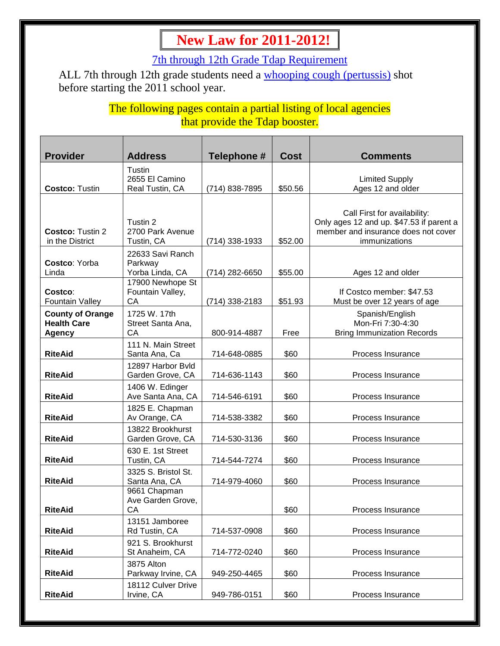## **New Law for 2011-2012!..**

[7th through 12th Grade Tdap Requirement](http://www.shotsforschool.org/tdaplaw.html)

ALL 7th through 12th grade students need a [whooping cough \(pertussis\)](http://www.cdph.ca.gov/HealthInfo/discond/Pages/Pertussis.aspx) shot before starting the 2011 school year.

## The following pages contain a partial listing of local agencies that provide the Tdap booster.

| <b>Provider</b>                                                | <b>Address</b>                                 | Telephone #      | <b>Cost</b> | <b>Comments</b>                                                                                                                  |
|----------------------------------------------------------------|------------------------------------------------|------------------|-------------|----------------------------------------------------------------------------------------------------------------------------------|
|                                                                | Tustin                                         |                  |             |                                                                                                                                  |
| <b>Costco: Tustin</b>                                          | 2655 El Camino<br>Real Tustin, CA              | (714) 838-7895   | \$50.56     | <b>Limited Supply</b><br>Ages 12 and older                                                                                       |
|                                                                |                                                |                  |             |                                                                                                                                  |
| Costco: Tustin 2<br>in the District                            | Tustin 2<br>2700 Park Avenue<br>Tustin, CA     | $(714)$ 338-1933 | \$52.00     | Call First for availability:<br>Only ages 12 and up. \$47.53 if parent a<br>member and insurance does not cover<br>immunizations |
| Costco: Yorba<br>Linda                                         | 22633 Savi Ranch<br>Parkway<br>Yorba Linda, CA | (714) 282-6650   | \$55.00     | Ages 12 and older                                                                                                                |
| Costco:<br><b>Fountain Valley</b>                              | 17900 Newhope St<br>Fountain Valley,<br>СA     | (714) 338-2183   | \$51.93     | If Costco member: \$47.53<br>Must be over 12 years of age                                                                        |
| <b>County of Orange</b><br><b>Health Care</b><br><b>Agency</b> | 1725 W. 17th<br>Street Santa Ana,<br>СA        | 800-914-4887     | Free        | Spanish/English<br>Mon-Fri 7:30-4:30<br><b>Bring Immunization Records</b>                                                        |
| <b>RiteAid</b>                                                 | 111 N. Main Street<br>Santa Ana, Ca            | 714-648-0885     | \$60        | Process Insurance                                                                                                                |
|                                                                | 12897 Harbor Bvld                              |                  |             |                                                                                                                                  |
| <b>RiteAid</b>                                                 | Garden Grove, CA<br>1406 W. Edinger            | 714-636-1143     | \$60        | Process Insurance                                                                                                                |
| <b>RiteAid</b>                                                 | Ave Santa Ana, CA                              | 714-546-6191     | \$60        | Process Insurance                                                                                                                |
| <b>RiteAid</b>                                                 | 1825 E. Chapman<br>Av Orange, CA               | 714-538-3382     | \$60        | Process Insurance                                                                                                                |
| <b>RiteAid</b>                                                 | 13822 Brookhurst<br>Garden Grove, CA           | 714-530-3136     | \$60        | Process Insurance                                                                                                                |
| <b>RiteAid</b>                                                 | 630 E. 1st Street<br>Tustin, CA                | 714-544-7274     | \$60        | Process Insurance                                                                                                                |
| <b>RiteAid</b>                                                 | 3325 S. Bristol St.<br>Santa Ana, CA           | 714-979-4060     | \$60        | Process Insurance                                                                                                                |
| <b>RiteAid</b>                                                 | 9661 Chapman<br>Ave Garden Grove,              |                  | \$60        |                                                                                                                                  |
|                                                                | СA<br>13151 Jamboree                           |                  |             | Process Insurance                                                                                                                |
| <b>RiteAid</b>                                                 | Rd Tustin, CA                                  | 714-537-0908     | \$60        | Process Insurance                                                                                                                |
| <b>RiteAid</b>                                                 | 921 S. Brookhurst<br>St Anaheim, CA            | 714-772-0240     | \$60        | Process Insurance                                                                                                                |
| <b>RiteAid</b>                                                 | 3875 Alton<br>Parkway Irvine, CA               | 949-250-4465     | \$60        | Process Insurance                                                                                                                |
| <b>RiteAid</b>                                                 | 18112 Culver Drive<br>Irvine, CA               | 949-786-0151     | \$60        | Process Insurance                                                                                                                |